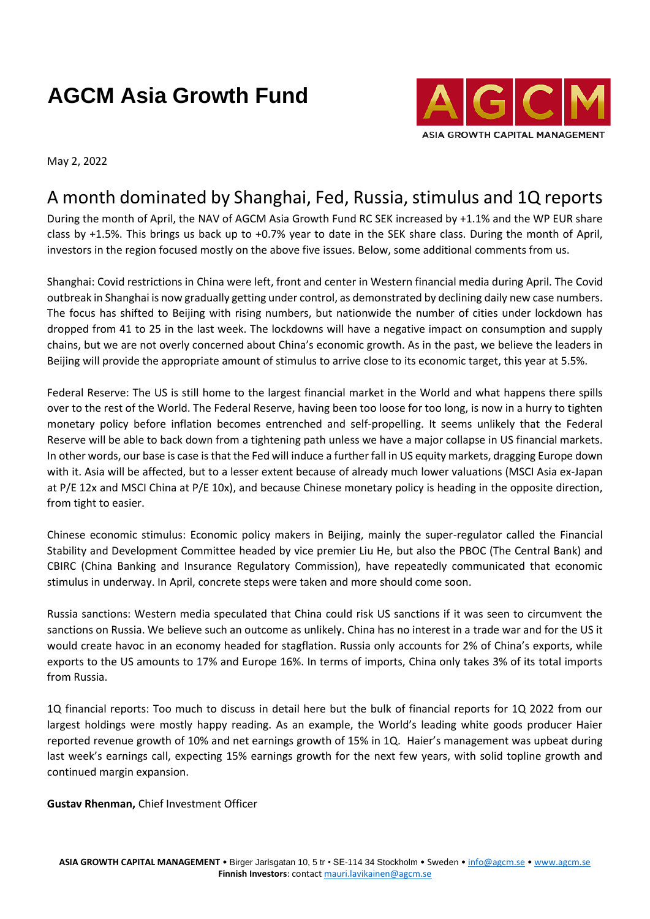# **AGCM Asia Growth Fund**



May 2, 2022

## A month dominated by Shanghai, Fed, Russia, stimulus and 1Q reports

During the month of April, the NAV of AGCM Asia Growth Fund RC SEK increased by +1.1% and the WP EUR share class by +1.5%. This brings us back up to +0.7% year to date in the SEK share class. During the month of April, investors in the region focused mostly on the above five issues. Below, some additional comments from us.

Shanghai: Covid restrictions in China were left, front and center in Western financial media during April. The Covid outbreak in Shanghai is now gradually getting under control, as demonstrated by declining daily new case numbers. The focus has shifted to Beijing with rising numbers, but nationwide the number of cities under lockdown has dropped from 41 to 25 in the last week. The lockdowns will have a negative impact on consumption and supply chains, but we are not overly concerned about China's economic growth. As in the past, we believe the leaders in Beijing will provide the appropriate amount of stimulus to arrive close to its economic target, this year at 5.5%.

Federal Reserve: The US is still home to the largest financial market in the World and what happens there spills over to the rest of the World. The Federal Reserve, having been too loose for too long, is now in a hurry to tighten monetary policy before inflation becomes entrenched and self-propelling. It seems unlikely that the Federal Reserve will be able to back down from a tightening path unless we have a major collapse in US financial markets. In other words, our base is case is that the Fed will induce a further fall in US equity markets, dragging Europe down with it. Asia will be affected, but to a lesser extent because of already much lower valuations (MSCI Asia ex-Japan at P/E 12x and MSCI China at P/E 10x), and because Chinese monetary policy is heading in the opposite direction, from tight to easier.

Chinese economic stimulus: Economic policy makers in Beijing, mainly the super-regulator called the Financial Stability and Development Committee headed by vice premier Liu He, but also the PBOC (The Central Bank) and CBIRC (China Banking and Insurance Regulatory Commission), have repeatedly communicated that economic stimulus in underway. In April, concrete steps were taken and more should come soon.

Russia sanctions: Western media speculated that China could risk US sanctions if it was seen to circumvent the sanctions on Russia. We believe such an outcome as unlikely. China has no interest in a trade war and for the US it would create havoc in an economy headed for stagflation. Russia only accounts for 2% of China's exports, while exports to the US amounts to 17% and Europe 16%. In terms of imports, China only takes 3% of its total imports from Russia.

1Q financial reports: Too much to discuss in detail here but the bulk of financial reports for 1Q 2022 from our largest holdings were mostly happy reading. As an example, the World's leading white goods producer Haier reported revenue growth of 10% and net earnings growth of 15% in 1Q. Haier's management was upbeat during last week's earnings call, expecting 15% earnings growth for the next few years, with solid topline growth and continued margin expansion.

**Gustav Rhenman,** Chief Investment Officer